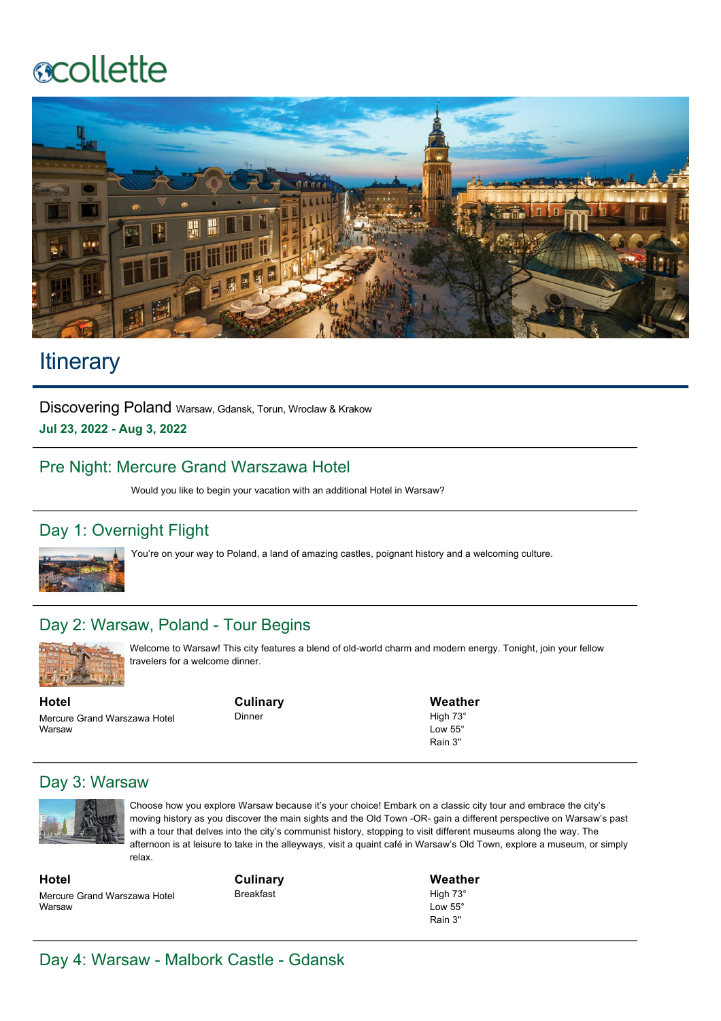# **ecollette**



## **Itinerary**

Discovering Poland Warsaw, Gdansk, Torun, Wroclaw & Krakow **Jul 23, 2022 Aug 3, 2022**

#### Pre Night: Mercure Grand Warszawa Hotel

Would you like to begin your vacation with an additional Hotel in Warsaw?

#### Day 1: Overnight Flight



You're on your way to Poland, a land of amazing castles, poignant history and a welcoming culture.

#### Day 2: Warsaw, Poland - Tour Begins



Welcome to Warsaw! This city features a blend of old-world charm and modern energy. Tonight, join your fellow travelers for a welcome dinner.

**Hotel** Mercure Grand Warszawa Hotel Warsaw

**Culinary** Dinner

**Weather** High 73° Low 55° Rain 3"

#### Day 3: Warsaw



Choose how you explore Warsaw because it's your choice! Embark on a classic city tour and embrace the city's moving history as you discover the main sights and the Old Town -OR- gain a different perspective on Warsaw's past with a tour that delves into the city's communist history, stopping to visit different museums along the way. The afternoon is at leisure to take in the alleyways, visit a quaint café in Warsaw's Old Town, explore a museum, or simply relax.

**Hotel** Mercure Grand Warszawa Hotel Warsaw

**Culinary** Breakfast

**Weather** High 73° Low 55° Rain 3"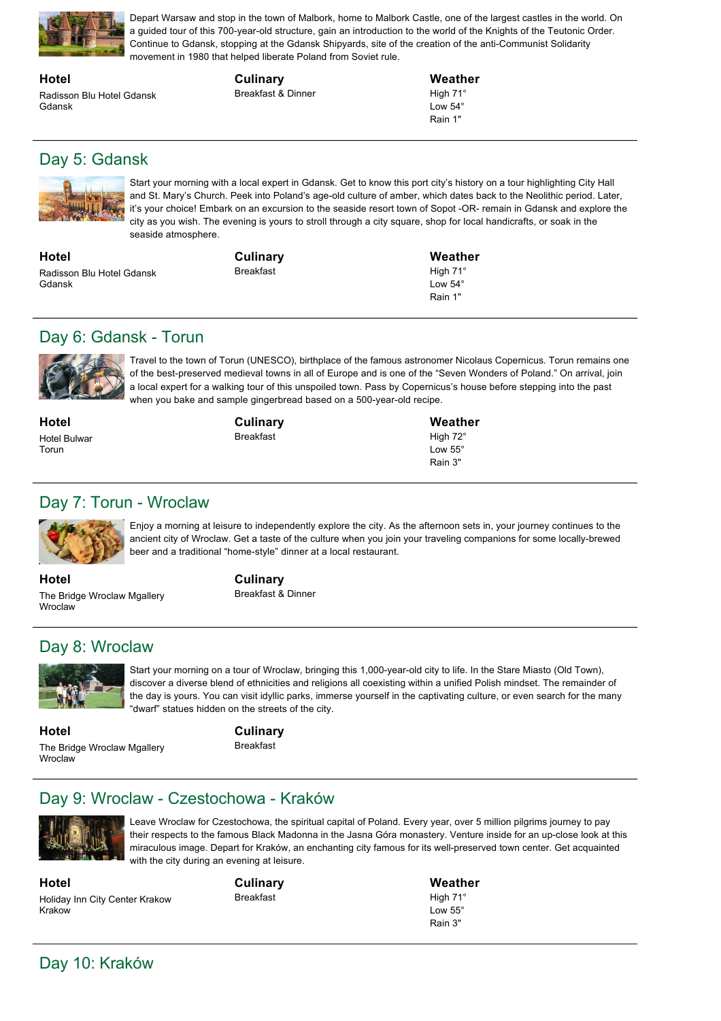

Depart Warsaw and stop in the town of Malbork, home to Malbork Castle, one of the largest castles in the world. On a guided tour of this 700-year-old structure, gain an introduction to the world of the Knights of the Teutonic Order. Continue to Gdansk, stopping at the Gdansk Shipyards, site of the creation of the anti-Communist Solidarity movement in 1980 that helped liberate Poland from Soviet rule.

**Hotel** Radisson Blu Hotel Gdansk Gdansk

**Culinary** Breakfast & Dinner **Weather**

High 71° Low 54° Rain 1"

### Day 5: Gdansk



Start your morning with a local expert in Gdansk. Get to know this port city's history on a tour highlighting City Hall and St. Mary's Church. Peek into Poland's age-old culture of amber, which dates back to the Neolithic period. Later, it's your choice! Embark on an excursion to the seaside resort town of Sopot -OR- remain in Gdansk and explore the city as you wish. The evening is yours to stroll through a city square, shop for local handicrafts, or soak in the seaside atmosphere.

**Hotel** Radisson Blu Hotel Gdansk Gdansk

**Culinary** Breakfast

**Weather** High 71° Low 54° Rain 1"

#### Day 6: Gdansk - Torun



Travel to the town of Torun (UNESCO), birthplace of the famous astronomer Nicolaus Copernicus. Torun remains one of the best-preserved medieval towns in all of Europe and is one of the "Seven Wonders of Poland." On arrival, join a local expert for a walking tour of this unspoiled town. Pass by Copernicus's house before stepping into the past when you bake and sample gingerbread based on a 500-year-old recipe.

**Hotel** Hotel Bulwar Torun

**Culinary** Breakfast

**Weather** High 72° Low 55° Rain 3"

#### Day 7: Torun - Wroclaw



Enjoy a morning at leisure to independently explore the city. As the afternoon sets in, your journey continues to the ancient city of Wroclaw. Get a taste of the culture when you join your traveling companions for some locally-brewed beer and a traditional "home-style" dinner at a local restaurant.

**Hotel** The Bridge Wroclaw Mgallery Wroclaw

**Culinary** Breakfast & Dinner

#### Day 8: Wroclaw



Start your morning on a tour of Wroclaw, bringing this 1,000-year-old city to life. In the Stare Miasto (Old Town), discover a diverse blend of ethnicities and religions all coexisting within a unified Polish mindset. The remainder of the day is yours. You can visit idyllic parks, immerse yourself in the captivating culture, or even search for the many "dwarf" statues hidden on the streets of the city.

**Hotel** The Bridge Wroclaw Mgallery Wroclaw

**Culinary**

Breakfast

#### Day 9: Wroclaw - Czestochowa - Kraków



Leave Wroclaw for Czestochowa, the spiritual capital of Poland. Every year, over 5 million pilgrims journey to pay their respects to the famous Black Madonna in the Jasna Góra monastery. Venture inside for an up-close look at this miraculous image. Depart for Kraków, an enchanting city famous for its well-preserved town center. Get acquainted with the city during an evening at leisure.

**Hotel** Holiday Inn City Center Krakow Krakow

**Culinary** Breakfast

**Weather** High 71° Low 55° Rain 3"